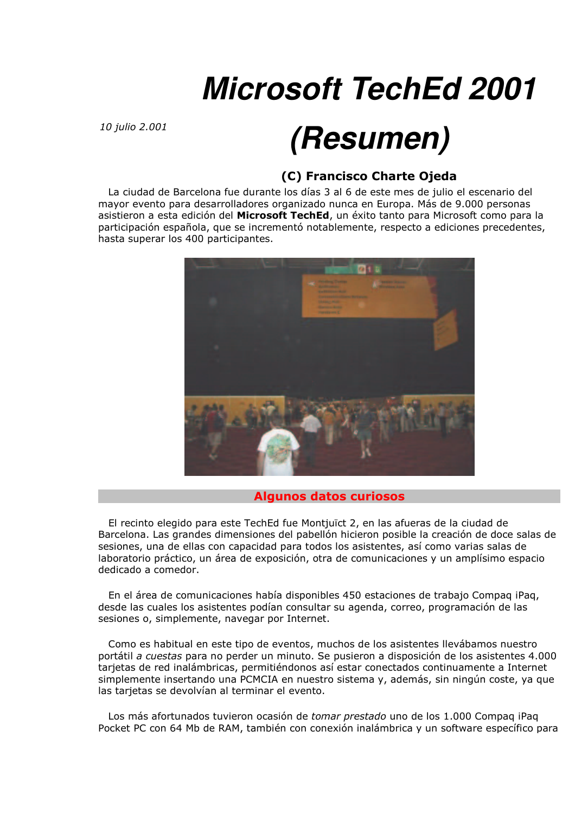# **Microsoft TechEd 2001**

10 *iulio* 2,001

## (Resumen)

### (C) Francisco Charte Ojeda

La ciudad de Barcelona fue durante los días 3 al 6 de este mes de julio el escenario del mayor evento para desarrolladores organizado nunca en Europa. Más de 9.000 personas asistieron a esta edición del Microsoft TechEd, un éxito tanto para Microsoft como para la participación española, que se incrementó notablemente, respecto a ediciones precedentes, hasta superar los 400 participantes.



#### **Algunos datos curiosos**

El recinto elegido para este TechEd fue Montjuïct 2, en las afueras de la ciudad de Barcelona. Las grandes dimensiones del pabellón hicieron posible la creación de doce salas de sesiones, una de ellas con capacidad para todos los asistentes, así como varias salas de laboratorio práctico, un área de exposición, otra de comunicaciones y un amplísimo espacio dedicado a comedor.

En el área de comunicaciones había disponibles 450 estaciones de trabajo Compaq iPaq, desde las cuales los asistentes podían consultar su agenda, correo, programación de las sesiones o, simplemente, navegar por Internet.

Como es habitual en este tipo de eventos, muchos de los asistentes llevábamos nuestro portátil a cuestas para no perder un minuto. Se pusieron a disposición de los asistentes 4.000 tarjetas de red inalámbricas, permitiéndonos así estar conectados continuamente a Internet simplemente insertando una PCMCIA en nuestro sistema y, además, sin ningún coste, ya que las tarjetas se devolvían al terminar el evento.

Los más afortunados tuvieron ocasión de tomar prestado uno de los 1.000 Compag iPag Pocket PC con 64 Mb de RAM, también con conexión inalámbrica y un software específico para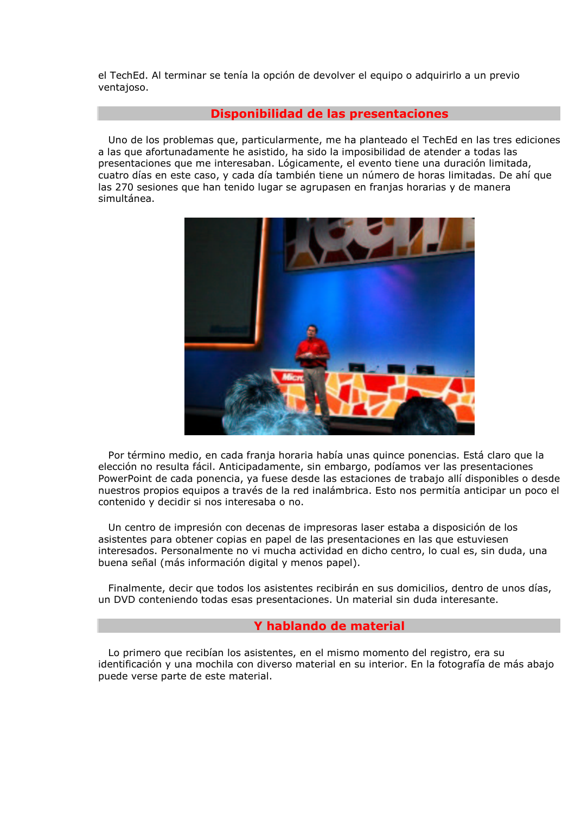el TechEd. Al terminar se tenía la opción de devolver el equipo o adquirirlo a un previo ventajoso.

#### Disponibilidad de las presentaciones

Uno de los problemas que, particularmente, me ha planteado el TechEd en las tres ediciones a las que afortunadamente he asistido, ha sido la imposibilidad de atender a todas las presentaciones que me interesaban. Lógicamente, el evento tiene una duración limitada, cuatro días en este caso, y cada día también tiene un número de horas limitadas. De ahí que las 270 sesiones que han tenido lugar se agrupasen en franjas horarias y de manera simultánea.



Por término medio, en cada franja horaria había unas quince ponencias. Está claro que la elección no resulta fácil. Anticipadamente, sin embargo, podíamos ver las presentaciones PowerPoint de cada ponencia, ya fuese desde las estaciones de trabajo allí disponibles o desde nuestros propios equipos a través de la red inalámbrica. Esto nos permitía anticipar un poco el contenido y decidir si nos interesaba o no.

Un centro de impresión con decenas de impresoras laser estaba a disposición de los asistentes para obtener copias en papel de las presentaciones en las que estuviesen interesados. Personalmente no vi mucha actividad en dicho centro, lo cual es, sin duda, una buena señal (más información digital y menos papel).

Finalmente, decir que todos los asistentes recibirán en sus domicilios, dentro de unos días, un DVD conteniendo todas esas presentaciones. Un material sin duda interesante.

#### Y hablando de material

Lo primero que recibían los asistentes, en el mismo momento del registro, era su identificación y una mochila con diverso material en su interior. En la fotografía de más abajo puede verse parte de este material.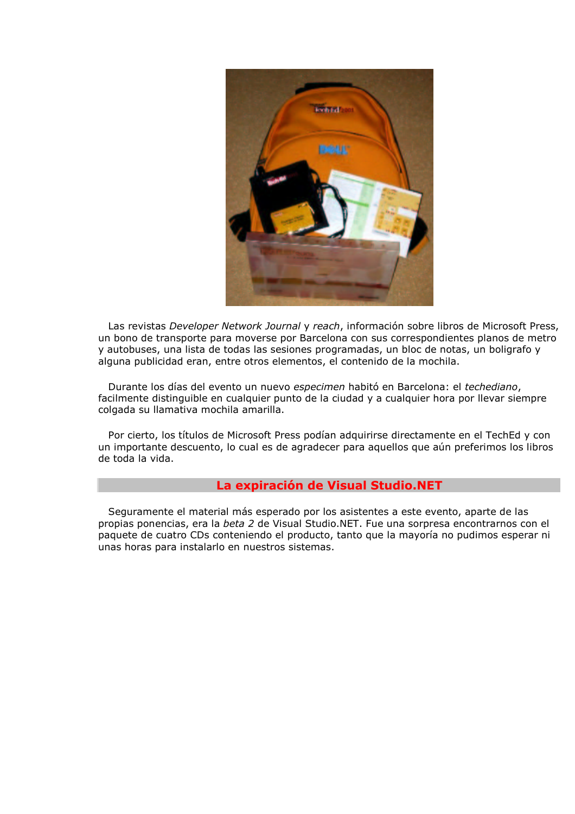

Las revistas Developer Network Journal y reach, información sobre libros de Microsoft Press, un bono de transporte para moverse por Barcelona con sus correspondientes planos de metro y autobuses, una lista de todas las sesiones programadas, un bloc de notas, un boligrafo y alguna publicidad eran, entre otros elementos, el contenido de la mochila.

Durante los días del evento un nuevo especimen habitó en Barcelona: el techediano, facilmente distinguible en cualquier punto de la ciudad y a cualquier hora por llevar siempre colgada su llamativa mochila amarilla.

Por cierto, los títulos de Microsoft Press podían adquirirse directamente en el TechEd y con un importante descuento, lo cual es de agradecer para aquellos que aún preferimos los libros de toda la vida.

#### La expiración de Visual Studio.NET

Seguramente el material más esperado por los asistentes a este evento, aparte de las propias ponencias, era la beta 2 de Visual Studio.NET. Fue una sorpresa encontrarnos con el paquete de cuatro CDs conteniendo el producto, tanto que la mayoría no pudimos esperar ni unas horas para instalarlo en nuestros sistemas.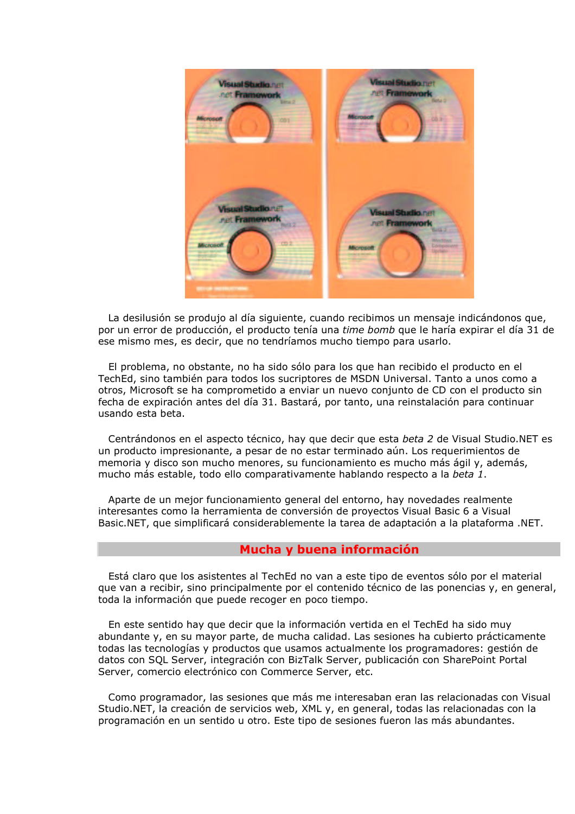

La desilusión se produjo al día siguiente, cuando recibimos un mensaje indicándonos que, por un error de producción, el producto tenía una time bomb que le haría expirar el día 31 de ese mismo mes, es decir, que no tendríamos mucho tiempo para usarlo.

El problema, no obstante, no ha sido sólo para los que han recibido el producto en el TechEd, sino también para todos los sucriptores de MSDN Universal. Tanto a unos como a otros. Microsoft se ha comprometido a enviar un nuevo conjunto de CD con el producto sin fecha de expiración antes del día 31. Bastará, por tanto, una reinstalación para continuar usando esta beta.

Centrándonos en el aspecto técnico, hay que decir que esta beta 2 de Visual Studio. NET es un producto impresionante, a pesar de no estar terminado aún. Los requerimientos de memoria y disco son mucho menores, su funcionamiento es mucho más ágil y, además, mucho más estable, todo ello comparativamente hablando respecto a la beta 1.

Aparte de un mejor funcionamiento general del entorno, hay novedades realmente interesantes como la herramienta de conversión de proyectos Visual Basic 6 a Visual Basic.NET, que simplificará considerablemente la tarea de adaptación a la plataforma .NET.

#### Mucha y buena información

Está claro que los asistentes al TechEd no van a este tipo de eventos sólo por el material gue van a recibir, sino principalmente por el contenido técnico de las ponencias y, en general, toda la información que puede recoger en poco tiempo.

En este sentido hay que decir que la información vertida en el TechEd ha sido muy abundante y, en su mayor parte, de mucha calidad. Las sesiones ha cubierto prácticamente todas las tecnologías y productos que usamos actualmente los programadores; gestión de datos con SQL Server, integración con BizTalk Server, publicación con SharePoint Portal Server, comercio electrónico con Commerce Server, etc.

Como programador, las sesiones que más me interesaban eran las relacionadas con Visual Studio.NET, la creación de servicios web, XML y, en general, todas las relacionadas con la programación en un sentido u otro. Este tipo de sesiones fueron las más abundantes.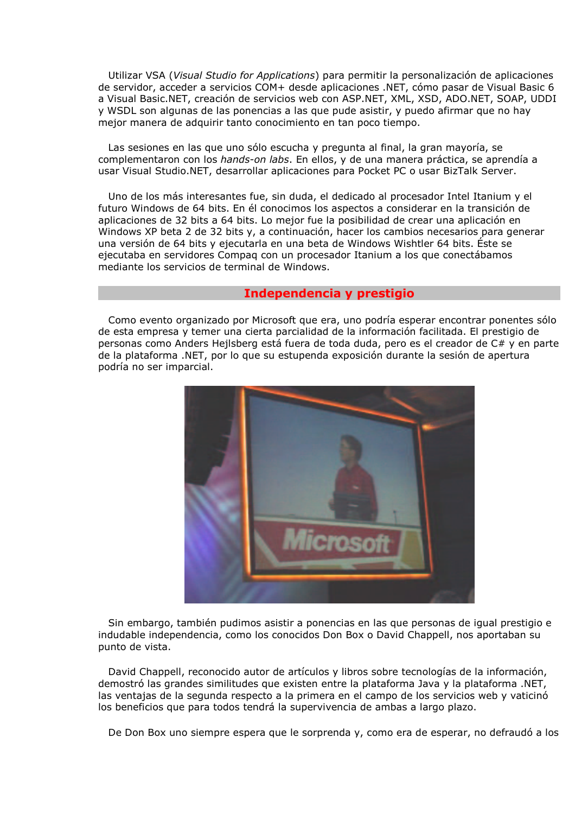Utilizar VSA (Visual Studio for Applications) para permitir la personalización de aplicaciones de servidor, acceder a servicios COM+ desde aplicaciones .NET, cómo pasar de Visual Basic 6 a Visual Basic.NET, creación de servicios web con ASP.NET, XML, XSD, ADO.NET, SOAP, UDDI y WSDL son algunas de las ponencias a las que pude asistir, y puedo afirmar que no hay mejor manera de adquirir tanto conocimiento en tan poco tiempo.

Las sesiones en las que uno sólo escucha y pregunta al final, la gran mayoría, se complementaron con los hands-on labs. En ellos, y de una manera práctica, se aprendía a usar Visual Studio.NET, desarrollar aplicaciones para Pocket PC o usar BizTalk Server.

Uno de los más interesantes fue, sin duda, el dedicado al procesador Intel Itanium y el futuro Windows de 64 bits. En él conocimos los aspectos a considerar en la transición de aplicaciones de 32 bits a 64 bits. Lo mejor fue la posibilidad de crear una aplicación en Windows XP beta 2 de 32 bits y, a continuación, hacer los cambios necesarios para generar una versión de 64 bits y ejecutarla en una beta de Windows Wishtler 64 bits. Éste se ejecutaba en servidores Compag con un procesador Itanium a los que conectábamos mediante los servicios de terminal de Windows.

#### Independencia y prestigio

Como evento organizado por Microsoft que era, uno podría esperar encontrar ponentes sólo de esta empresa y temer una cierta parcialidad de la información facilitada. El prestigio de personas como Anders Hejlsberg está fuera de toda duda, pero es el creador de C# y en parte de la plataforma .NET, por lo que su estupenda exposición durante la sesión de apertura podría no ser imparcial.



Sin embargo, también pudimos asistir a ponencias en las que personas de igual prestigio e indudable independencia, como los conocidos Don Box o David Chappell, nos aportaban su punto de vista.

David Chappell, reconocido autor de artículos y libros sobre tecnologías de la información, demostró las grandes similitudes que existen entre la plataforma Java y la plataforma .NET. las ventajas de la segunda respecto a la primera en el campo de los servicios web y vaticinó los beneficios que para todos tendrá la supervivencia de ambas a largo plazo.

De Don Box uno siempre espera que le sorprenda y, como era de esperar, no defraudó a los